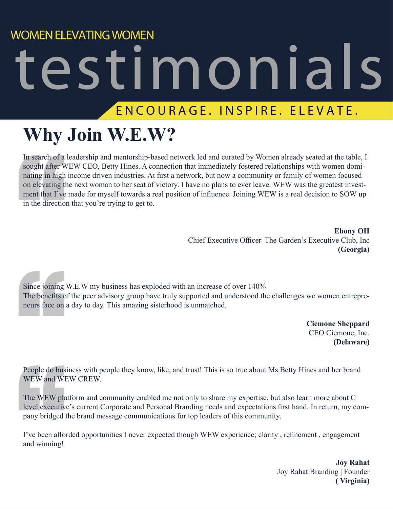# **WOMEN ELEVATING WOMEN** testimonials

### ENCOURAGE. INSPIRE. ELEVATE.

### **Why Join W.E.W?**

In search of a<br>sought after W<br>nating in high<br>on elevating t<br>ment that I've<br>in the directio In search of a leadership and mentorship-based network led and curated by Women already seated at the table, I sought after WEW CEO, Betty Hines. A connection that immediately fostered relationships with women dominating in high income driven industries. At first a network, but now a community or family of women focused on elevating the next woman to her seat of victory. I have no plans to ever leave. WEW was the greatest investment that I've made for myself towards a real position of influence. Joining WEW is a real decision to SOW up in the direction that you're trying to get to.

**Ebony OH** Chief Executive Officer| The Garden's Executive Club, Inc **(Georgia)**

Since joining<br>The benefits of<br>neurs face on<br>People do bus<br>WEW and WI Since joining W.E.W my business has exploded with an increase of over 140% The benefits of the peer advisory group have truly supported and understood the challenges we women entrepreneurs face on a day to day. This amazing sisterhood is unmatched.

**Ciemone Sheppard** CEO Ciemone, Inc. **(Delaware)**

People do business with people they know, like, and trust! This is so true about Ms.Betty Hines and her brand WEW and WEW CREW.

People do bus<br>WEW and WI<br>The WEW pla<br>level executiv<br>pany bridged<br>I've been affo<br>and winning! The WEW platform and community enabled me not only to share my expertise, but also learn more about C level executive's current Corporate and Personal Branding needs and expectations first hand. In return, my company bridged the brand message communications for top leaders of this community.

I've been afforded opportunities I never expected though WEW experience; clarity , refinement , engagement and winning!

> **Joy Rahat** Joy Rahat Branding | Founder **( Virginia)**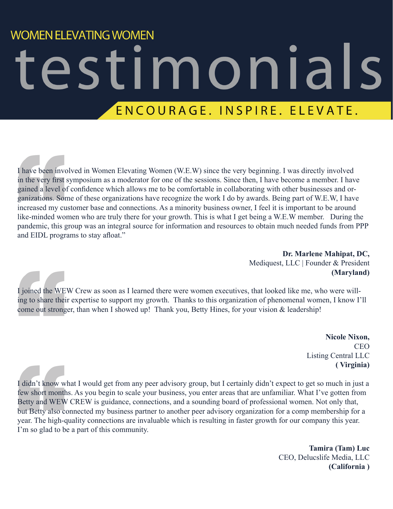# **WOMEN ELEVATING WOMEN** testimonials

#### ENCOURAGE. INSPIRE. ELEVATE.

I have been invertiend in the very first<br>gained a level of ganizations. So<br>increased my culike-minded wo<br>pandemic, this gand EIDL progr I have been involved in Women Elevating Women (W.E.W) since the very beginning. I was directly involved in the very first symposium as a moderator for one of the sessions. Since then, I have become a member. I have gained a level of confidence which allows me to be comfortable in collaborating with other businesses and organizations. Some of these organizations have recognize the work I do by awards. Being part of W.E.W, I have increased my customer base and connections. As a minority business owner, I feel it is important to be around like-minded women who are truly there for your growth. This is what I get being a W.E.W member. During the pandemic, this group was an integral source for information and resources to obtain much needed funds from PPP and EIDL programs to stay afloat."

**Dr. Marlene Mahipat, DC,**  Mediquest, LLC | Founder & President **(Maryland)** 

**"** I joined the WEW Crew as soon as I learned there were women executives, that looked like me, who were willing to share their expertise to support my growth. Thanks to this organization of phenomenal women, I know I'll come out stronger, than when I showed up! Thank you, Betty Hines, for your vision & leadership!

**Nicole Nixon, CEO** Listing Central LLC **( Virginia)** 

I didn't know w<br>few short montl<br>Betty and WEW<br>but Betty also c<br>year. The high-c<br>I'm so glad to b I didn't know what I would get from any peer advisory group, but I certainly didn't expect to get so much in just a few short months. As you begin to scale your business, you enter areas that are unfamiliar. What I've gotten from Betty and WEW CREW is guidance, connections, and a sounding board of professional women. Not only that, but Betty also connected my business partner to another peer advisory organization for a comp membership for a year. The high-quality connections are invaluable which is resulting in faster growth for our company this year. I'm so glad to be a part of this community.

**Tamira (Tam) Luc** CEO, Delucslife Media, LLC **(California )**